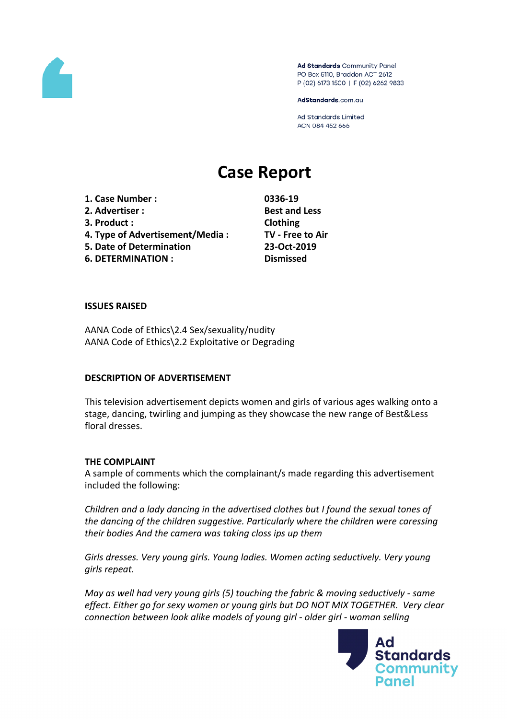

Ad Standards Community Panel PO Box 5110, Braddon ACT 2612 P (02) 6173 1500 | F (02) 6262 9833

AdStandards.com.au

Ad Standards Limited ACN 084 452 666

# **Case Report**

**1. Case Number : 0336-19 2. Advertiser : Best and Less 3. Product : Clothing 4. Type of Advertisement/Media : TV - Free to Air 5. Date of Determination 23-Oct-2019 6. DETERMINATION : Dismissed**

#### **ISSUES RAISED**

AANA Code of Ethics\2.4 Sex/sexuality/nudity AANA Code of Ethics\2.2 Exploitative or Degrading

#### **DESCRIPTION OF ADVERTISEMENT**

This television advertisement depicts women and girls of various ages walking onto a stage, dancing, twirling and jumping as they showcase the new range of Best&Less floral dresses.

#### **THE COMPLAINT**

A sample of comments which the complainant/s made regarding this advertisement included the following:

*Children and a lady dancing in the advertised clothes but I found the sexual tones of the dancing of the children suggestive. Particularly where the children were caressing their bodies And the camera was taking closs ips up them*

*Girls dresses. Very young girls. Young ladies. Women acting seductively. Very young girls repeat.* 

*May as well had very young girls (5) touching the fabric & moving seductively - same effect. Either go for sexy women or young girls but DO NOT MIX TOGETHER. Very clear connection between look alike models of young girl - older girl - woman selling*

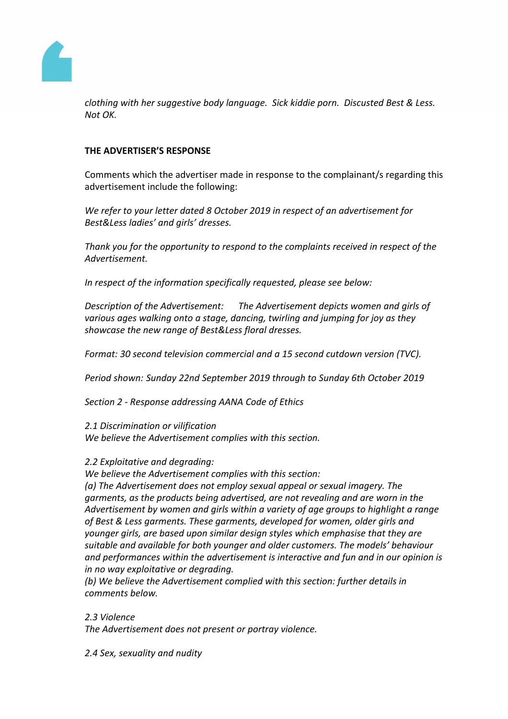

*clothing with her suggestive body language. Sick kiddie porn. Discusted Best & Less. Not OK.*

## **THE ADVERTISER'S RESPONSE**

Comments which the advertiser made in response to the complainant/s regarding this advertisement include the following:

*We refer to your letter dated 8 October 2019 in respect of an advertisement for Best&Less ladies' and girls' dresses.* 

*Thank you for the opportunity to respond to the complaints received in respect of the Advertisement.*

*In respect of the information specifically requested, please see below:*

*Description of the Advertisement: The Advertisement depicts women and girls of various ages walking onto a stage, dancing, twirling and jumping for joy as they showcase the new range of Best&Less floral dresses.*

*Format: 30 second television commercial and a 15 second cutdown version (TVC).*

*Period shown: Sunday 22nd September 2019 through to Sunday 6th October 2019*

*Section 2 - Response addressing AANA Code of Ethics*

*2.1 Discrimination or vilification*

*We believe the Advertisement complies with this section.*

## *2.2 Exploitative and degrading:*

*We believe the Advertisement complies with this section:*

*(a) The Advertisement does not employ sexual appeal or sexual imagery. The garments, as the products being advertised, are not revealing and are worn in the Advertisement by women and girls within a variety of age groups to highlight a range of Best & Less garments. These garments, developed for women, older girls and younger girls, are based upon similar design styles which emphasise that they are suitable and available for both younger and older customers. The models' behaviour and performances within the advertisement is interactive and fun and in our opinion is in no way exploitative or degrading.*

*(b) We believe the Advertisement complied with this section: further details in comments below.*

## *2.3 Violence*

*The Advertisement does not present or portray violence.*

*2.4 Sex, sexuality and nudity*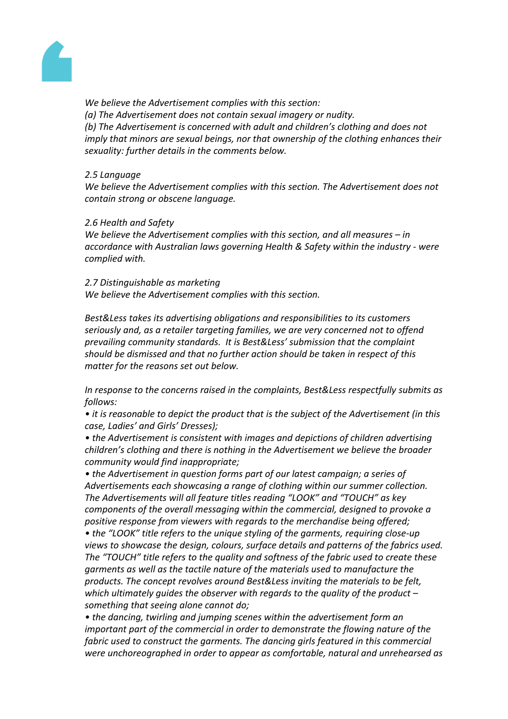

*We believe the Advertisement complies with this section: (a) The Advertisement does not contain sexual imagery or nudity. (b) The Advertisement is concerned with adult and children's clothing and does not imply that minors are sexual beings, nor that ownership of the clothing enhances their sexuality: further details in the comments below.*

## *2.5 Language*

*We believe the Advertisement complies with this section. The Advertisement does not contain strong or obscene language.*

## *2.6 Health and Safety*

*We believe the Advertisement complies with this section, and all measures – in accordance with Australian laws governing Health & Safety within the industry - were complied with.*

*2.7 Distinguishable as marketing We believe the Advertisement complies with this section.*

*Best&Less takes its advertising obligations and responsibilities to its customers seriously and, as a retailer targeting families, we are very concerned not to offend prevailing community standards. It is Best&Less' submission that the complaint should be dismissed and that no further action should be taken in respect of this matter for the reasons set out below.*

*In response to the concerns raised in the complaints, Best&Less respectfully submits as follows:*

*• it is reasonable to depict the product that is the subject of the Advertisement (in this case, Ladies' and Girls' Dresses);*

*• the Advertisement is consistent with images and depictions of children advertising children's clothing and there is nothing in the Advertisement we believe the broader community would find inappropriate;*

*• the Advertisement in question forms part of our latest campaign; a series of Advertisements each showcasing a range of clothing within our summer collection. The Advertisements will all feature titles reading "LOOK" and "TOUCH" as key components of the overall messaging within the commercial, designed to provoke a positive response from viewers with regards to the merchandise being offered;*

*• the "LOOK" title refers to the unique styling of the garments, requiring close-up views to showcase the design, colours, surface details and patterns of the fabrics used. The "TOUCH" title refers to the quality and softness of the fabric used to create these garments as well as the tactile nature of the materials used to manufacture the products. The concept revolves around Best&Less inviting the materials to be felt, which ultimately guides the observer with regards to the quality of the product – something that seeing alone cannot do;*

*• the dancing, twirling and jumping scenes within the advertisement form an important part of the commercial in order to demonstrate the flowing nature of the fabric used to construct the garments. The dancing girls featured in this commercial were unchoreographed in order to appear as comfortable, natural and unrehearsed as*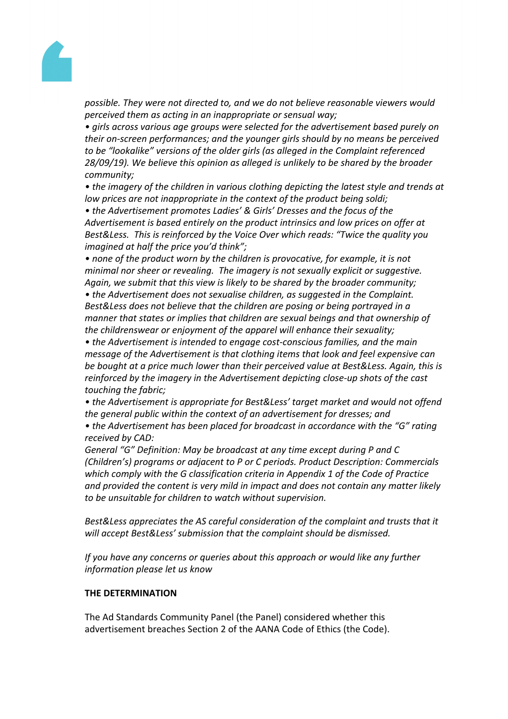

*possible. They were not directed to, and we do not believe reasonable viewers would perceived them as acting in an inappropriate or sensual way;*

*• girls across various age groups were selected for the advertisement based purely on their on-screen performances; and the younger girls should by no means be perceived to be "lookalike" versions of the older girls (as alleged in the Complaint referenced 28/09/19). We believe this opinion as alleged is unlikely to be shared by the broader community;*

*• the imagery of the children in various clothing depicting the latest style and trends at low prices are not inappropriate in the context of the product being soldi;*

*• the Advertisement promotes Ladies' & Girls' Dresses and the focus of the Advertisement is based entirely on the product intrinsics and low prices on offer at Best&Less. This is reinforced by the Voice Over which reads: "Twice the quality you imagined at half the price you'd think";*

*• none of the product worn by the children is provocative, for example, it is not minimal nor sheer or revealing. The imagery is not sexually explicit or suggestive. Again, we submit that this view is likely to be shared by the broader community;*

*• the Advertisement does not sexualise children, as suggested in the Complaint. Best&Less does not believe that the children are posing or being portrayed in a manner that states or implies that children are sexual beings and that ownership of the childrenswear or enjoyment of the apparel will enhance their sexuality;*

*• the Advertisement is intended to engage cost-conscious families, and the main message of the Advertisement is that clothing items that look and feel expensive can be bought at a price much lower than their perceived value at Best&Less. Again, this is reinforced by the imagery in the Advertisement depicting close-up shots of the cast touching the fabric;*

*• the Advertisement is appropriate for Best&Less' target market and would not offend the general public within the context of an advertisement for dresses; and*

*• the Advertisement has been placed for broadcast in accordance with the "G" rating received by CAD:*

*General "G" Definition: May be broadcast at any time except during P and C (Children's) programs or adjacent to P or C periods. Product Description: Commercials which comply with the G classification criteria in Appendix 1 of the Code of Practice and provided the content is very mild in impact and does not contain any matter likely to be unsuitable for children to watch without supervision.*

*Best&Less appreciates the AS careful consideration of the complaint and trusts that it will accept Best&Less' submission that the complaint should be dismissed.*

*If you have any concerns or queries about this approach or would like any further information please let us know*

## **THE DETERMINATION**

The Ad Standards Community Panel (the Panel) considered whether this advertisement breaches Section 2 of the AANA Code of Ethics (the Code).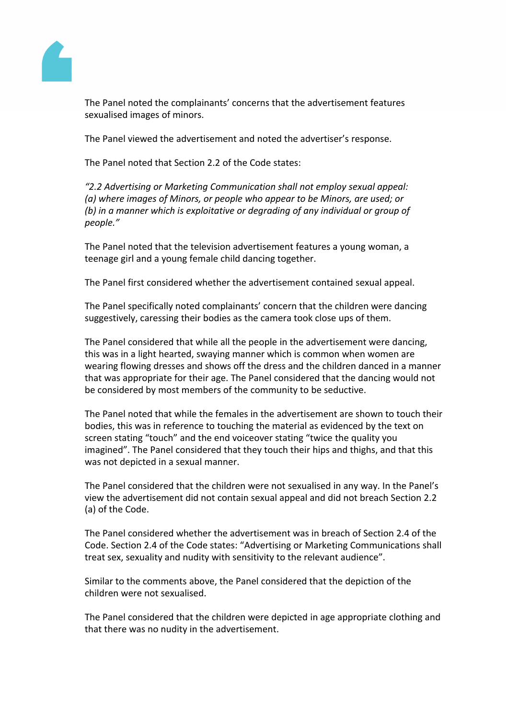

The Panel noted the complainants' concerns that the advertisement features sexualised images of minors.

The Panel viewed the advertisement and noted the advertiser's response.

The Panel noted that Section 2.2 of the Code states:

*"2.2 Advertising or Marketing Communication shall not employ sexual appeal: (a) where images of Minors, or people who appear to be Minors, are used; or (b) in a manner which is exploitative or degrading of any individual or group of people."*

The Panel noted that the television advertisement features a young woman, a teenage girl and a young female child dancing together.

The Panel first considered whether the advertisement contained sexual appeal.

The Panel specifically noted complainants' concern that the children were dancing suggestively, caressing their bodies as the camera took close ups of them.

The Panel considered that while all the people in the advertisement were dancing, this was in a light hearted, swaying manner which is common when women are wearing flowing dresses and shows off the dress and the children danced in a manner that was appropriate for their age. The Panel considered that the dancing would not be considered by most members of the community to be seductive.

The Panel noted that while the females in the advertisement are shown to touch their bodies, this was in reference to touching the material as evidenced by the text on screen stating "touch" and the end voiceover stating "twice the quality you imagined". The Panel considered that they touch their hips and thighs, and that this was not depicted in a sexual manner.

The Panel considered that the children were not sexualised in any way. In the Panel's view the advertisement did not contain sexual appeal and did not breach Section 2.2 (a) of the Code.

The Panel considered whether the advertisement was in breach of Section 2.4 of the Code. Section 2.4 of the Code states: "Advertising or Marketing Communications shall treat sex, sexuality and nudity with sensitivity to the relevant audience".

Similar to the comments above, the Panel considered that the depiction of the children were not sexualised.

The Panel considered that the children were depicted in age appropriate clothing and that there was no nudity in the advertisement.